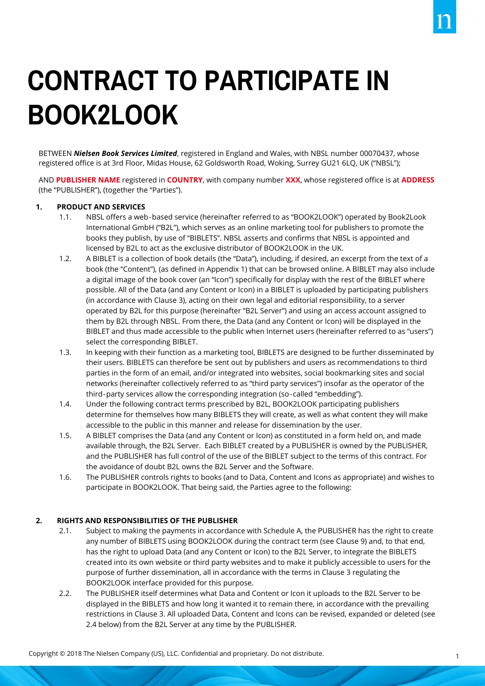# **CONTRACT TO PARTICIPATE IN BOOK2LOOK**

BETWEEN *Nielsen Book Services Limited*, registered in England and Wales, with NBSL number 00070437, whose registered office is at 3rd Floor, Midas House, 62 Goldsworth Road, Woking, Surrey GU21 6LQ, UK ("NBSL");

AND **PUBLISHER NAME** registered in **COUNTRY**, with company number **XXX**, whose registered office is at **ADDRESS** (the "PUBLISHER"), (together the "Parties").

### **1. PRODUCT AND SERVICES**

- 1.1. NBSL offers a web‐based service (hereinafter referred to as "BOOK2LOOK") operated by Book2Look International GmbH ("B2L"), which serves as an online marketing tool for publishers to promote the books they publish, by use of "BIBLETS". NBSL asserts and confirms that NBSL is appointed and licensed by B2L to act as the exclusive distributor of BOOK2LOOK in the UK.
- 1.2. A BIBLET is a collection of book details (the "Data"), including, if desired, an excerpt from the text of a book (the "Content"), (as defined in Appendix 1) that can be browsed online. A BIBLET may also include a digital image of the book cover (an "Icon") specifically for display with the rest of the BIBLET where possible. All of the Data (and any Content or Icon) in a BIBLET is uploaded by participating publishers (in accordance with Clause 3), acting on their own legal and editorial responsibility, to a server operated by B2L for this purpose (hereinafter "B2L Server") and using an access account assigned to them by B2L through NBSL. From there, the Data (and any Content or Icon) will be displayed in the BIBLET and thus made accessible to the public when Internet users (hereinafter referred to as "users") select the corresponding BIBLET.
- 1.3. In keeping with their function as a marketing tool, BIBLETS are designed to be further disseminated by their users. BIBLETS can therefore be sent out by publishers and users as recommendations to third parties in the form of an email, and/or integrated into websites, social bookmarking sites and social networks (hereinafter collectively referred to as "third party services") insofar as the operator of the third-party services allow the corresponding integration (so-called "embedding").
- 1.4. Under the following contract terms prescribed by B2L, BOOK2LOOK participating publishers determine for themselves how many BIBLETS they will create, as well as what content they will make accessible to the public in this manner and release for dissemination by the user.
- 1.5. A BIBLET comprises the Data (and any Content or Icon) as constituted in a form held on, and made available through, the B2L Server. Each BIBLET created by a PUBLISHER is owned by the PUBLISHER, and the PUBLISHER has full control of the use of the BIBLET subject to the terms of this contract. For the avoidance of doubt B2L owns the B2L Server and the Software.
- 1.6. The PUBLISHER controls rights to books (and to Data, Content and Icons as appropriate) and wishes to participate in BOOK2LOOK. That being said, the Parties agree to the following:

# **2. RIGHTS AND RESPONSIBILITIES OF THE PUBLISHER**

- 2.1. Subject to making the payments in accordance with Schedule A, the PUBLISHER has the right to create any number of BIBLETS using BOOK2LOOK during the contract term (see Clause 9) and, to that end, has the right to upload Data (and any Content or Icon) to the B2L Server, to integrate the BIBLETS created into its own website or third party websites and to make it publicly accessible to users for the purpose of further dissemination, all in accordance with the terms in Clause 3 regulating the BOOK2LOOK interface provided for this purpose.
- 2.2. The PUBLISHER itself determines what Data and Content or Icon it uploads to the B2L Server to be displayed in the BIBLETS and how long it wanted it to remain there, in accordance with the prevailing restrictions in Clause 3. All uploaded Data, Content and Icons can be revised, expanded or deleted (see 2.4 below) from the B2L Server at any time by the PUBLISHER.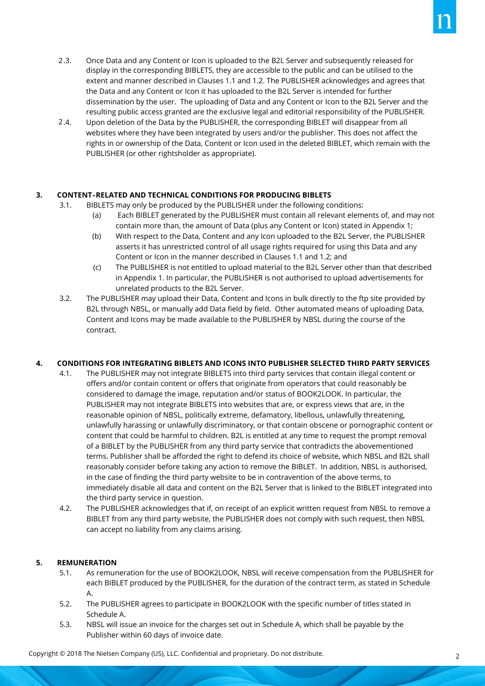- Once Data and any Content or Icon is uploaded to the B2L Server and subsequently released for display in the corresponding BIBLETS, they are accessible to the public and can be utilised to the extent and manner described in Clauses 1.1 and 1.2. The PUBLISHER acknowledges and agrees that the Data and any Content or Icon it has uploaded to the B2L Server is intended for further dissemination by the user. The uploading of Data and any Content or Icon to the B2L Server and the resulting public access granted are the exclusive legal and editorial responsibility of the PUBLISHER.  $2.3.$
- Upon deletion of the Data by the PUBLISHER, the corresponding BIBLET will disappear from all websites where they have been integrated by users and/or the publisher. This does not affect the rights in or ownership of the Data, Content or Icon used in the deleted BIBLET, which remain with the PUBLISHER (or other rightsholder as appropriate).  $2.4.$

# **3. CONTENT**‐**RELATED AND TECHNICAL CONDITIONS FOR PRODUCING BIBLETS**

- 3.1. BIBLETS may only be produced by the PUBLISHER under the following conditions:
	- (a) Each BIBLET generated by the PUBLISHER must contain all relevant elements of, and may not contain more than, the amount of Data (plus any Content or Icon) stated in Appendix 1;
	- (b) With respect to the Data, Content and any Icon uploaded to the B2L Server, the PUBLISHER asserts it has unrestricted control of all usage rights required for using this Data and any Content or Icon in the manner described in Clauses 1.1 and 1.2; and
	- (c) The PUBLISHER is not entitled to upload material to the B2L Server other than that described in Appendix 1. In particular, the PUBLISHER is not authorised to upload advertisements for unrelated products to the B2L Server.
- 3.2. The PUBLISHER may upload their Data, Content and Icons in bulk directly to the ftp site provided by B2L through NBSL, or manually add Data field by field. Other automated means of uploading Data, Content and Icons may be made available to the PUBLISHER by NBSL during the course of the contract.

# **4. CONDITIONS FOR INTEGRATING BIBLETS AND ICONS INTO PUBLISHER SELECTED THIRD PARTY SERVICES**

- 4.1. The PUBLISHER may not integrate BIBLETS into third party services that contain illegal content or offers and/or contain content or offers that originate from operators that could reasonably be considered to damage the image, reputation and/or status of BOOK2LOOK. In particular, the PUBLISHER may not integrate BIBLETS into websites that are, or express views that are, in the reasonable opinion of NBSL, politically extreme, defamatory, libellous, unlawfully threatening, unlawfully harassing or unlawfully discriminatory, or that contain obscene or pornographic content or content that could be harmful to children. B2L is entitled at any time to request the prompt removal of a BIBLET by the PUBLISHER from any third party service that contradicts the abovementioned terms. Publisher shall be afforded the right to defend its choice of website, which NBSL and B2L shall reasonably consider before taking any action to remove the BIBLET. In addition, NBSL is authorised, in the case of finding the third party website to be in contravention of the above terms, to immediately disable all data and content on the B2L Server that is linked to the BIBLET integrated into the third party service in question.
- 4.2. The PUBLISHER acknowledges that if, on receipt of an explicit written request from NBSL to remove a BIBLET from any third party website, the PUBLISHER does not comply with such request, then NBSL can accept no liability from any claims arising.

# **5. REMUNERATION**

- 5.1. As remuneration for the use of BOOK2LOOK, NBSL will receive compensation from the PUBLISHER for each BIBLET produced by the PUBLISHER, for the duration of the contract term, as stated in Schedule A.
- 5.2. The PUBLISHER agrees to participate in BOOK2LOOK with the specific number of titles stated in Schedule A.
- 5.3. NBSL will issue an invoice for the charges set out in Schedule A, which shall be payable by the Publisher within 60 days of invoice date.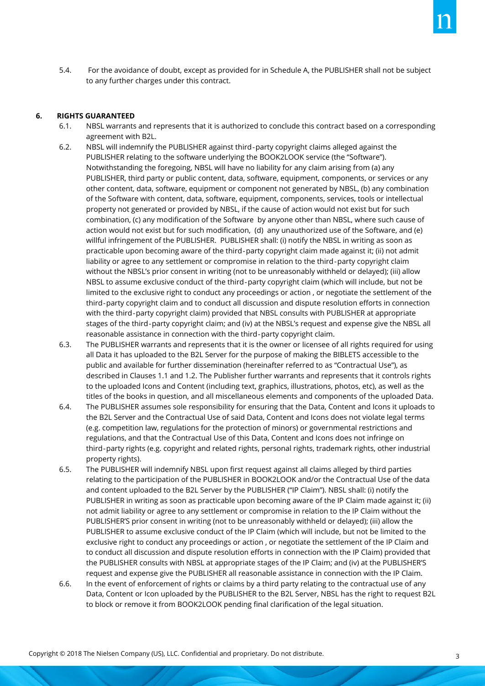5.4. For the avoidance of doubt, except as provided for in Schedule A, the PUBLISHER shall not be subject to any further charges under this contract.

#### **6. RIGHTS GUARANTEED**

- 6.1. NBSL warrants and represents that it is authorized to conclude this contract based on a corresponding agreement with B2L.
- 6.2. NBSL will indemnify the PUBLISHER against third‐party copyright claims alleged against the PUBLISHER relating to the software underlying the BOOK2LOOK service (the "Software"). Notwithstanding the foregoing, NBSL will have no liability for any claim arising from (a) any PUBLISHER, third party or public content, data, software, equipment, components, or services or any other content, data, software, equipment or component not generated by NBSL, (b) any combination of the Software with content, data, software, equipment, components, services, tools or intellectual property not generated or provided by NBSL, if the cause of action would not exist but for such combination, (c) any modification of the Software by anyone other than NBSL, where such cause of action would not exist but for such modification, (d) any unauthorized use of the Software, and (e) willful infringement of the PUBLISHER. PUBLISHER shall: (i) notify the NBSL in writing as soon as practicable upon becoming aware of the third‐party copyright claim made against it; (ii) not admit liability or agree to any settlement or compromise in relation to the third‐party copyright claim without the NBSL's prior consent in writing (not to be unreasonably withheld or delayed); (iii) allow NBSL to assume exclusive conduct of the third‐party copyright claim (which will include, but not be limited to the exclusive right to conduct any proceedings or action , or negotiate the settlement of the third‐party copyright claim and to conduct all discussion and dispute resolution efforts in connection with the third‐party copyright claim) provided that NBSL consults with PUBLISHER at appropriate stages of the third‐party copyright claim; and (iv) at the NBSL's request and expense give the NBSL all reasonable assistance in connection with the third‐party copyright claim.
- 6.3. The PUBLISHER warrants and represents that it is the owner or licensee of all rights required for using all Data it has uploaded to the B2L Server for the purpose of making the BIBLETS accessible to the public and available for further dissemination (hereinafter referred to as "Contractual Use"), as described in Clauses 1.1 and 1.2. The Publisher further warrants and represents that it controls rights to the uploaded Icons and Content (including text, graphics, illustrations, photos, etc), as well as the titles of the books in question, and all miscellaneous elements and components of the uploaded Data.
- 6.4. The PUBLISHER assumes sole responsibility for ensuring that the Data, Content and Icons it uploads to the B2L Server and the Contractual Use of said Data, Content and Icons does not violate legal terms (e.g. competition law, regulations for the protection of minors) or governmental restrictions and regulations, and that the Contractual Use of this Data, Content and Icons does not infringe on third‐party rights (e.g. copyright and related rights, personal rights, trademark rights, other industrial property rights).
- 6.5. The PUBLISHER will indemnify NBSL upon first request against all claims alleged by third parties relating to the participation of the PUBLISHER in BOOK2LOOK and/or the Contractual Use of the data and content uploaded to the B2L Server by the PUBLISHER ("IP Claim"). NBSL shall: (i) notify the PUBLISHER in writing as soon as practicable upon becoming aware of the IP Claim made against it; (ii) not admit liability or agree to any settlement or compromise in relation to the IP Claim without the PUBLISHER'S prior consent in writing (not to be unreasonably withheld or delayed); (iii) allow the PUBLISHER to assume exclusive conduct of the IP Claim (which will include, but not be limited to the exclusive right to conduct any proceedings or action , or negotiate the settlement of the IP Claim and to conduct all discussion and dispute resolution efforts in connection with the IP Claim) provided that the PUBLISHER consults with NBSL at appropriate stages of the IP Claim; and (iv) at the PUBLISHER'S request and expense give the PUBLISHER all reasonable assistance in connection with the IP Claim.
- 6.6. In the event of enforcement of rights or claims by a third party relating to the contractual use of any Data, Content or Icon uploaded by the PUBLISHER to the B2L Server, NBSL has the right to request B2L to block or remove it from BOOK2LOOK pending final clarification of the legal situation.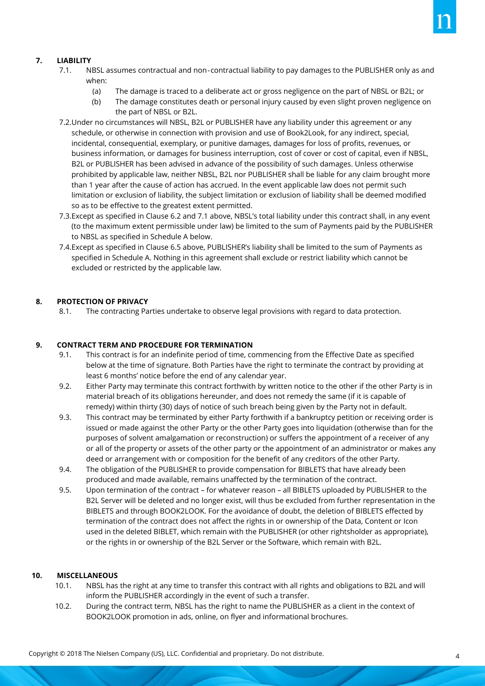- 7.1. NBSL assumes contractual and non‐contractual liability to pay damages to the PUBLISHER only as and when:
	- (a) The damage is traced to a deliberate act or gross negligence on the part of NBSL or B2L; or
	- (b) The damage constitutes death or personal injury caused by even slight proven negligence on the part of NBSL or B2L.
- 7.2.Under no circumstances will NBSL, B2L or PUBLISHER have any liability under this agreement or any schedule, or otherwise in connection with provision and use of Book2Look, for any indirect, special, incidental, consequential, exemplary, or punitive damages, damages for loss of profits, revenues, or business information, or damages for business interruption, cost of cover or cost of capital, even if NBSL, B2L or PUBLISHER has been advised in advance of the possibility of such damages. Unless otherwise prohibited by applicable law, neither NBSL, B2L nor PUBLISHER shall be liable for any claim brought more than 1 year after the cause of action has accrued. In the event applicable law does not permit such limitation or exclusion of liability, the subject limitation or exclusion of liability shall be deemed modified so as to be effective to the greatest extent permitted.
- 7.3.Except as specified in Clause 6.2 and 7.1 above, NBSL's total liability under this contract shall, in any event (to the maximum extent permissible under law) be limited to the sum of Payments paid by the PUBLISHER to NBSL as specified in Schedule A below.
- 7.4.Except as specified in Clause 6.5 above, PUBLISHER's liability shall be limited to the sum of Payments as specified in Schedule A. Nothing in this agreement shall exclude or restrict liability which cannot be excluded or restricted by the applicable law.

# **8. PROTECTION OF PRIVACY**

8.1. The contracting Parties undertake to observe legal provisions with regard to data protection.

# **9. CONTRACT TERM AND PROCEDURE FOR TERMINATION**

- 9.1. This contract is for an indefinite period of time, commencing from the Effective Date as specified below at the time of signature. Both Parties have the right to terminate the contract by providing at least 6 months' notice before the end of any calendar year.
- 9.2. Either Party may terminate this contract forthwith by written notice to the other if the other Party is in material breach of its obligations hereunder, and does not remedy the same (if it is capable of remedy) within thirty (30) days of notice of such breach being given by the Party not in default.
- 9.3. This contract may be terminated by either Party forthwith if a bankruptcy petition or receiving order is issued or made against the other Party or the other Party goes into liquidation (otherwise than for the purposes of solvent amalgamation or reconstruction) or suffers the appointment of a receiver of any or all of the property or assets of the other party or the appointment of an administrator or makes any deed or arrangement with or composition for the benefit of any creditors of the other Party.
- 9.4. The obligation of the PUBLISHER to provide compensation for BIBLETS that have already been produced and made available, remains unaffected by the termination of the contract.
- 9.5. Upon termination of the contract for whatever reason all BIBLETS uploaded by PUBLISHER to the B2L Server will be deleted and no longer exist, will thus be excluded from further representation in the BIBLETS and through BOOK2LOOK. For the avoidance of doubt, the deletion of BIBLETS effected by termination of the contract does not affect the rights in or ownership of the Data, Content or Icon used in the deleted BIBLET, which remain with the PUBLISHER (or other rightsholder as appropriate), or the rights in or ownership of the B2L Server or the Software, which remain with B2L.

# **10. MISCELLANEOUS**

- 10.1. NBSL has the right at any time to transfer this contract with all rights and obligations to B2L and will inform the PUBLISHER accordingly in the event of such a transfer.
- 10.2. During the contract term, NBSL has the right to name the PUBLISHER as a client in the context of BOOK2LOOK promotion in ads, online, on flyer and informational brochures.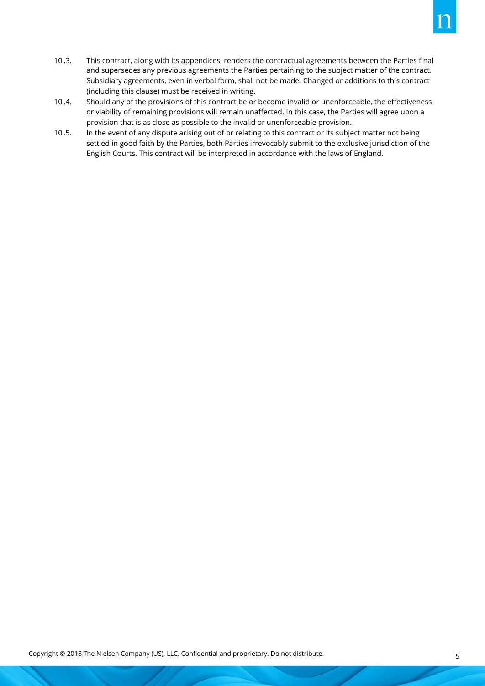- This contract, along with its appendices, renders the contractual agreements between the Parties final and supersedes any previous agreements the Parties pertaining to the subject matter of the contract. Subsidiary agreements, even in verbal form, shall not be made. Changed or additions to this contract (including this clause) must be received in writing.  $10.3.$
- Should any of the provisions of this contract be or become invalid or unenforceable, the effectiveness or viability of remaining provisions will remain unaffected. In this case, the Parties will agree upon a provision that is as close as possible to the invalid or unenforceable provision.  $10.4.$
- In the event of any dispute arising out of or relating to this contract or its subject matter not being settled in good faith by the Parties, both Parties irrevocably submit to the exclusive jurisdiction of the English Courts. This contract will be interpreted in accordance with the laws of England.  $10.5.$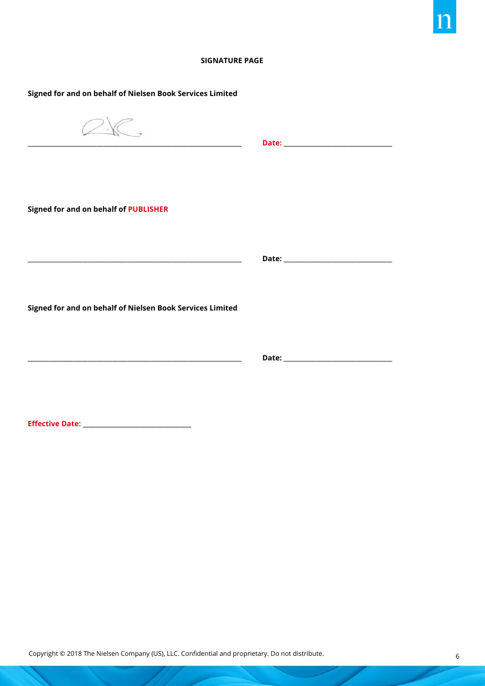#### **SIGNATURE PAGE**

**\_\_\_\_\_\_\_\_\_\_\_\_\_\_\_\_\_\_\_\_\_\_\_\_\_\_\_\_\_\_\_\_\_\_\_\_\_\_\_\_\_\_\_\_\_\_\_\_\_\_\_\_\_\_\_\_\_\_\_\_\_\_\_\_\_\_\_\_\_\_\_ Date: \_\_\_\_\_\_\_\_\_\_\_\_\_\_\_\_\_\_\_\_\_\_\_\_\_\_\_\_\_\_\_\_\_\_\_\_**

**Signed for and on behalf of Nielsen Book Services Limited**

 $2K$ 

**\_\_\_\_\_\_\_\_\_\_\_\_\_\_\_\_\_\_\_\_\_\_\_\_\_\_\_\_\_\_\_\_\_\_\_\_\_\_\_\_\_\_\_\_\_\_\_\_\_\_\_\_\_\_\_\_\_\_\_\_\_\_\_\_\_\_\_\_\_\_\_ Date: \_\_\_\_\_\_\_\_\_\_\_\_\_\_\_\_\_\_\_\_\_\_\_\_\_\_\_\_\_\_\_\_\_\_\_\_**

**Signed for and on behalf of PUBLISHER**

**Signed for and on behalf of Nielsen Book Services Limited**

**\_\_\_\_\_\_\_\_\_\_\_\_\_\_\_\_\_\_\_\_\_\_\_\_\_\_\_\_\_\_\_\_\_\_\_\_\_\_\_\_\_\_\_\_\_\_\_\_\_\_\_\_\_\_\_\_\_\_\_\_\_\_\_\_\_\_\_\_\_\_\_ Date: \_\_\_\_\_\_\_\_\_\_\_\_\_\_\_\_\_\_\_\_\_\_\_\_\_\_\_\_\_\_\_\_\_\_\_\_**

**Effective Date: \_\_\_\_\_\_\_\_\_\_\_\_\_\_\_\_\_\_\_\_\_\_\_\_\_\_\_\_\_\_\_\_\_\_\_\_**